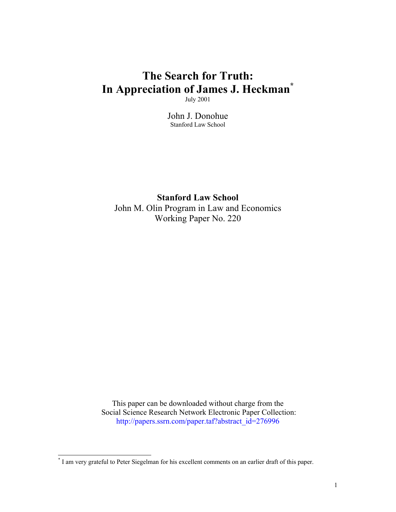# **The Search for Truth: In Appreciation of James J. Heckman[\\*](#page-0-0)**

July 2001

John J. Donohue Stanford Law School

**Stanford Law School** John M. Olin Program in Law and Economics Working Paper No. 220

This paper can be downloaded without charge from the Social Science Research Network Electronic Paper Collection: [http://papers.ssrn.com/paper.taf?abstract\\_id=276996](http://papers.ssrn.com/paper.taf?abstract_id=276996 ) 

<span id="page-0-0"></span> \* I am very grateful to Peter Siegelman for his excellent comments on an earlier draft of this paper.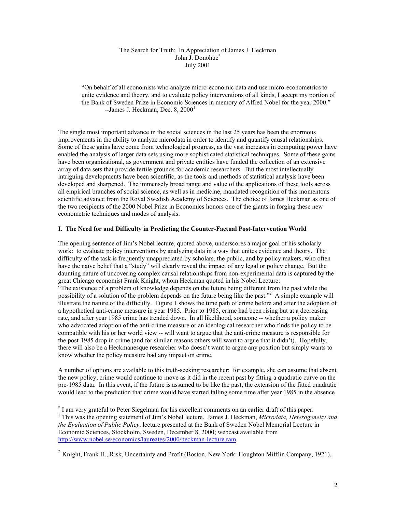### The Search for Truth: In Appreciation of James J. Heckman John J. Donohue [\\*](#page-1-0) July 2001

"On behalf of all economists who analyze micro-economic data and use micro-econometrics to unite evidence and theory, and to evaluate policy interventions of all kinds, I accept my portion of the Bank of Sweden Prize in Economic Sciences in memory of Alfred Nobel for the year 2000."  $-$ James J. Heckman, Dec. 8, 2000 $<sup>1</sup>$  $<sup>1</sup>$  $<sup>1</sup>$ </sup>

The single most important advance in the social sciences in the last 25 years has been the enormous improvements in the ability to analyze microdata in order to identify and quantify causal relationships. Some of these gains have come from technological progress, as the vast increases in computing power have enabled the analysis of larger data sets using more sophisticated statistical techniques. Some of these gains have been organizational, as government and private entities have funded the collection of an extensive array of data sets that provide fertile grounds for academic researchers. But the most intellectually intriguing developments have been scientific, as the tools and methods of statistical analysis have been developed and sharpened. The immensely broad range and value of the applications of these tools across all empirical branches of social science, as well as in medicine, mandated recognition of this momentous scientific advance from the Royal Swedish Academy of Sciences. The choice of James Heckman as one of the two recipients of the 2000 Nobel Prize in Economics honors one of the giants in forging these new econometric techniques and modes of analysis.

## **I. The Need for and Difficulty in Predicting the Counter-Factual Post-Intervention World**

The opening sentence of Jim's Nobel lecture, quoted above, underscores a major goal of his scholarly work: to evaluate policy interventions by analyzing data in a way that unites evidence and theory. The difficulty of the task is frequently unappreciated by scholars, the public, and by policy makers, who often have the naïve belief that a "study" will clearly reveal the impact of any legal or policy change. But the daunting nature of uncovering complex causal relationships from non-experimental data is captured by the great Chicago economist Frank Knight, whom Heckman quoted in his Nobel Lecture:

"The existence of a problem of knowledge depends on the future being different from the past while the possibility of a solution of the problem depends on the future being like the past."<sup>2</sup> A simple example will illustrate the nature of the difficulty. Figure 1 shows the time path of crime before and after the adoption of a hypothetical anti-crime measure in year 1985. Prior to 1985, crime had been rising but at a decreasing rate, and after year 1985 crime has trended down. In all likelihood, someone -- whether a policy maker who advocated adoption of the anti-crime measure or an ideological researcher who finds the policy to be compatible with his or her world view -- will want to argue that the anti-crime measure is responsible for the post-1985 drop in crime (and for similar reasons others will want to argue that it didn't). Hopefully, there will also be a Heckmanesque researcher who doesn't want to argue any position but simply wants to know whether the policy measure had any impact on crime.

A number of options are available to this truth-seeking researcher: for example, she can assume that absent the new policy, crime would continue to move as it did in the recent past by fitting a quadratic curve on the pre-1985 data. In this event, if the future is assumed to be like the past, the extension of the fitted quadratic would lead to the prediction that crime would have started falling some time after year 1985 in the absence

<span id="page-1-0"></span> <sup>\*</sup> <sup>\*</sup> I am very grateful to Peter Siegelman for his excellent comments on an earlier draft of this paper.

<span id="page-1-1"></span><sup>&</sup>lt;sup>1</sup> This was the opening statement of Jim's Nobel lecture. James J. Heckman, *Microdata, Heterogeneity and the Evaluation of Public Policy*, lecture presented at the Bank of Sweden Nobel Memorial Lecture in Economic Sciences, Stockholm, Sweden, December 8, 2000; webcast available from <http://www.nobel.se/economics/laureates/2000/heckman-lecture.ram>.

<span id="page-1-2"></span><sup>&</sup>lt;sup>2</sup> Knight, Frank H., Risk, Uncertainty and Profit (Boston, New York: Houghton Mifflin Company, 1921).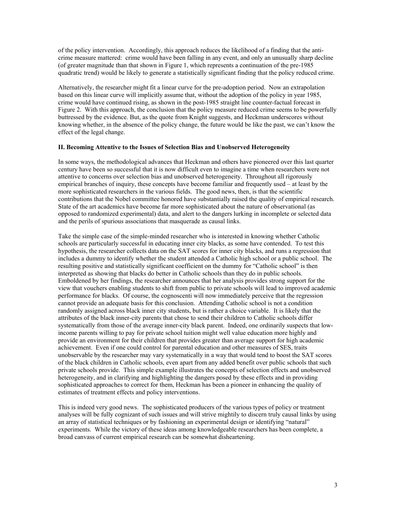of the policy intervention. Accordingly, this approach reduces the likelihood of a finding that the anticrime measure mattered: crime would have been falling in any event, and only an unusually sharp decline (of greater magnitude than that shown in Figure 1, which represents a continuation of the pre-1985 quadratic trend) would be likely to generate a statistically significant finding that the policy reduced crime.

Alternatively, the researcher might fit a linear curve for the pre-adoption period. Now an extrapolation based on this linear curve will implicitly assume that, without the adoption of the policy in year 1985, crime would have continued rising, as shown in the post-1985 straight line counter-factual forecast in Figure 2. With this approach, the conclusion that the policy measure reduced crime seems to be powerfully buttressed by the evidence. But, as the quote from Knight suggests, and Heckman underscores without knowing whether, in the absence of the policy change, the future would be like the past, we can't know the effect of the legal change.

#### **II. Becoming Attentive to the Issues of Selection Bias and Unobserved Heterogeneity**

In some ways, the methodological advances that Heckman and others have pioneered over this last quarter century have been so successful that it is now difficult even to imagine a time when researchers were not attentive to concerns over selection bias and unobserved heterogeneity. Throughout all rigorously empirical branches of inquiry, these concepts have become familiar and frequently used – at least by the more sophisticated researchers in the various fields. The good news, then, is that the scientific contributions that the Nobel committee honored have substantially raised the quality of empirical research. State of the art academics have become far more sophisticated about the nature of observational (as opposed to randomized experimental) data, and alert to the dangers lurking in incomplete or selected data and the perils of spurious associations that masquerade as causal links.

Take the simple case of the simple-minded researcher who is interested in knowing whether Catholic schools are particularly successful in educating inner city blacks, as some have contended. To test this hypothesis, the researcher collects data on the SAT scores for inner city blacks, and runs a regression that includes a dummy to identify whether the student attended a Catholic high school or a public school. The resulting positive and statistically significant coefficient on the dummy for "Catholic school" is then interpreted as showing that blacks do better in Catholic schools than they do in public schools. Emboldened by her findings, the researcher announces that her analysis provides strong support for the view that vouchers enabling students to shift from public to private schools will lead to improved academic performance for blacks. Of course, the cognoscenti will now immediately perceive that the regression cannot provide an adequate basis for this conclusion. Attending Catholic school is not a condition randomly assigned across black inner city students, but is rather a choice variable. It is likely that the attributes of the black inner-city parents that chose to send their children to Catholic schools differ systematically from those of the average inner-city black parent. Indeed, one ordinarily suspects that lowincome parents willing to pay for private school tuition might well value education more highly and provide an environment for their children that provides greater than average support for high academic achievement. Even if one could control for parental education and other measures of SES, traits unobservable by the researcher may vary systematically in a way that would tend to boost the SAT scores of the black children in Catholic schools, even apart from any added benefit over public schools that such private schools provide. This simple example illustrates the concepts of selection effects and unobserved heterogeneity, and in clarifying and highlighting the dangers posed by these effects and in providing sophisticated approaches to correct for them, Heckman has been a pioneer in enhancing the quality of estimates of treatment effects and policy interventions.

This is indeed very good news. The sophisticated producers of the various types of policy or treatment analyses will be fully cognizant of such issues and will strive mightily to discern truly causal links by using an array of statistical techniques or by fashioning an experimental design or identifying "natural" experiments. While the victory of these ideas among knowledgeable researchers has been complete, a broad canvass of current empirical research can be somewhat disheartening.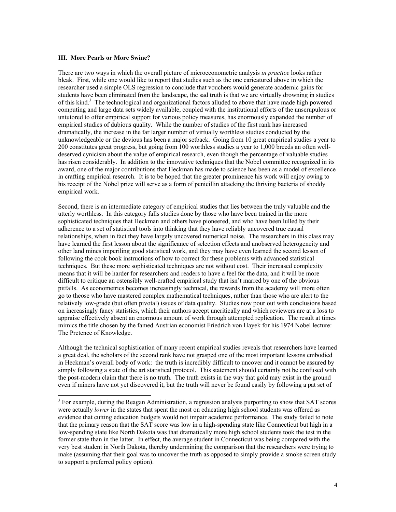#### **III. More Pearls or More Swine?**

There are two ways in which the overall picture of microeconometric analysis *in practice* looks rather bleak. First, while one would like to report that studies such as the one caricatured above in which the researcher used a simple OLS regression to conclude that vouchers would generate academic gains for students have been eliminated from the landscape, the sad truth is that we are virtually drowning in studies of this kind.<sup>[3](#page-3-0)</sup> The technological and organizational factors alluded to above that have made high powered computing and large data sets widely available, coupled with the institutional efforts of the unscrupulous or untutored to offer empirical support for various policy measures, has enormously expanded the number of empirical studies of dubious quality. While the number of studies of the first rank has increased dramatically, the increase in the far larger number of virtually worthless studies conducted by the unknowledgeable or the devious has been a major setback. Going from 10 great empirical studies a year to 200 constitutes great progress, but going from 100 worthless studies a year to 1,000 breeds an often welldeserved cynicism about the value of empirical research, even though the percentage of valuable studies has risen considerably. In addition to the innovative techniques that the Nobel committee recognized in its award, one of the major contributions that Heckman has made to science has been as a model of excellence in crafting empirical research. It is to be hoped that the greater prominence his work will enjoy owing to his receipt of the Nobel prize will serve as a form of penicillin attacking the thriving bacteria of shoddy empirical work.

Second, there is an intermediate category of empirical studies that lies between the truly valuable and the utterly worthless. In this category falls studies done by those who have been trained in the more sophisticated techniques that Heckman and others have pioneered, and who have been lulled by their adherence to a set of statistical tools into thinking that they have reliably uncovered true causal relationships, when in fact they have largely uncovered numerical noise. The researchers in this class may have learned the first lesson about the significance of selection effects and unobserved heterogeneity and other land mines imperiling good statistical work, and they may have even learned the second lesson of following the cook book instructions of how to correct for these problems with advanced statistical techniques. But these more sophisticated techniques are not without cost. Their increased complexity means that it will be harder for researchers and readers to have a feel for the data, and it will be more difficult to critique an ostensibly well-crafted empirical study that isn't marred by one of the obvious pitfalls. As econometrics becomes increasingly technical, the rewards from the academy will more often go to theose who have mastered complex mathematical techniques, rather than those who are alert to the relatively low-grade (but often pivotal) issues of data quality. Studies now pour out with conclusions based on increasingly fancy statistics, which their authors accept uncritically and which reviewers are at a loss to appraise effectively absent an enormous amount of work through attempted replication. The result at times mimics the title chosen by the famed Austrian economist Friedrich von Hayek for his 1974 Nobel lecture: The Pretence of Knowledge.

Although the technical sophistication of many recent empirical studies reveals that researchers have learned a great deal, the scholars of the second rank have not grasped one of the most important lessons embodied in Heckman's overall body of work: the truth is incredibly difficult to uncover and it cannot be assured by simply following a state of the art statistical protocol. This statement should certainly not be confused with the post-modern claim that there is no truth. The truth exists in the way that gold may exist in the ground even if miners have not yet discovered it, but the truth will never be found easily by following a pat set of

<span id="page-3-0"></span> <sup>3</sup> <sup>3</sup> For example, during the Reagan Administration, a regression analysis purporting to show that SAT scores were actually *lower* in the states that spent the most on educating high school students was offered as evidence that cutting education budgets would not impair academic performance. The study failed to note that the primary reason that the SAT score was low in a high-spending state like Connecticut but high in a low-spending state like North Dakota was that dramatically more high school students took the test in the former state than in the latter. In effect, the average student in Connecticut was being compared with the very best student in North Dakota, thereby undermining the comparison that the researchers were trying to make (assuming that their goal was to uncover the truth as opposed to simply provide a smoke screen study to support a preferred policy option).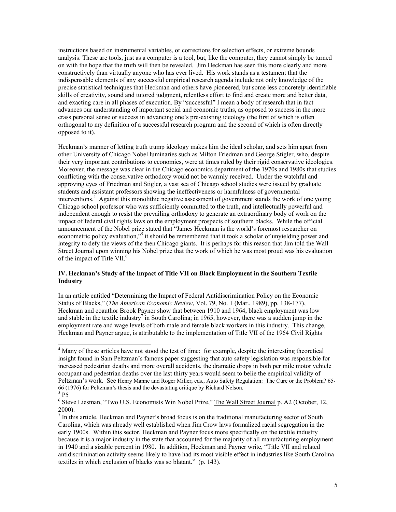instructions based on instrumental variables, or corrections for selection effects, or extreme bounds analysis. These are tools, just as a computer is a tool, but, like the computer, they cannot simply be turned on with the hope that the truth will then be revealed. Jim Heckman has seen this more clearly and more constructively than virtually anyone who has ever lived. His work stands as a testament that the indispensable elements of any successful empirical research agenda include not only knowledge of the precise statistical techniques that Heckman and others have pioneered, but some less concretely identifiable skills of creativity, sound and tutored judgment, relentless effort to find and create more and better data, and exacting care in all phases of execution. By "successful" I mean a body of research that in fact advances our understanding of important social and economic truths, as opposed to success in the more crass personal sense or success in advancing one's pre-existing ideology (the first of which is often orthogonal to my definition of a successful research program and the second of which is often directly opposed to it).

Heckman's manner of letting truth trump ideology makes him the ideal scholar, and sets him apart from other University of Chicago Nobel luminaries such as Milton Friedman and George Stigler, who, despite their very important contributions to economics, were at times ruled by their rigid conservative ideologies. Moreover, the message was clear in the Chicago economics department of the 1970s and 1980s that studies conflicting with the conservative orthodoxy would not be warmly received. Under the watchful and approving eyes of Friedman and Stigler, a vast sea of Chicago school studies were issued by graduate students and assistant professors showing the ineffectiveness or harmfulness of governmental interventions. 4 Against this monolithic negative assessment of government stands the work of one young Chicago school professor who was sufficiently committed to the truth, and intellectually powerful and independent enough to resist the prevailing orthodoxy to generate an extraordinary body of work on the impact of federal civil rights laws on the employment prospects of southern blacks. While the official announcement of the Nobel prize stated that "James Heckman is the world's foremost researcher on econometric policy evaluation,"<sup>[5](#page-4-1)</sup> it should be remembered that it took a scholar of unyielding power and integrity to defy the views of the then Chicago giants. It is perhaps for this reason that Jim told the Wall Street Journal upon winning his Nobel prize that the work of which he was most proud was his evaluation of the impact of Title VII.<sup>[6](#page-4-2)</sup>

# **IV. Heckman's Study of the Impact of Title VII on Black Employment in the Southern Textile Industry**

In an article entitled "Determining the Impact of Federal Antidiscrimination Policy on the Economic Status of Blacks," (*The American Economic Review*, Vol. 79, No. 1 (Mar., 1989), pp. 138-177), Heckman and coauthor Brook Payner show that between 1910 and 1964, black employment was low and stable in the textile industry<sup>7</sup> in South Carolina; in 1965, however, there was a sudden jump in the employment rate and wage levels of both male and female black workers in this industry. This change, Heckman and Payner argue, is attributable to the implementation of Title VII of the 1964 Civil Rights

<span id="page-4-0"></span> $\frac{1}{4}$ <sup>4</sup> Many of these articles have not stood the test of time: for example, despite the interesting theoretical insight found in Sam Peltzman's famous paper suggesting that auto safety legislation was responsible for increased pedestrian deaths and more overall accidents, the dramatic drops in both per mile motor vehicle occupant and pedestrian deaths over the last thirty years would seem to belie the empirical validity of Peltzman's work. See Henry Manne and Roger Miller, eds., Auto Safety Regulation: The Cure or the Problem? 65- 66 (1976) for Peltzman's thesis and the devastating critique by Richard Nelson. <sup>5</sup>

<span id="page-4-1"></span> $5$  P5

<span id="page-4-2"></span><sup>&</sup>lt;sup>6</sup> Steve Liesman, "Two U.S. Economists Win Nobel Prize," The Wall Street Journal p. A2 (October, 12, 2000).

<span id="page-4-3"></span> $<sup>7</sup>$  In this article, Heckman and Payner's broad focus is on the traditional manufacturing sector of South</sup> Carolina, which was already well established when Jim Crow laws formalized racial segregation in the early 1900s. Within this sector, Heckman and Payner focus more specifically on the textile industry because it is a major industry in the state that accounted for the majority of all manufacturing employment in 1940 and a sizable percent in 1980. In addition, Heckman and Payner write, "Title VII and related antidiscrimination activity seems likely to have had its most visible effect in industries like South Carolina textiles in which exclusion of blacks was so blatant." (p. 143).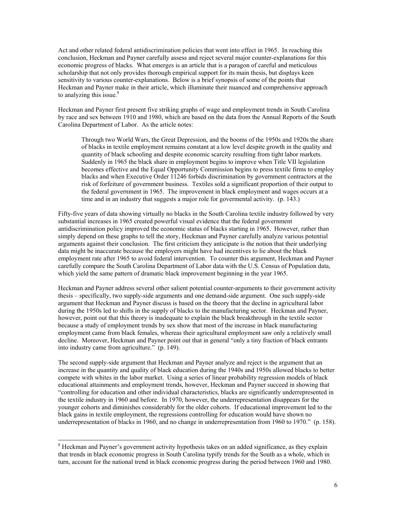Act and other related federal antidiscrimination policies that went into effect in 1965. In reaching this conclusion, Heckman and Payner carefully assess and reject several major counter-explanations for this economic progress of blacks. What emerges is an article that is a paragon of careful and meticulous scholarship that not only provides thorough empirical support for its main thesis, but displays keen sensitivity to various counter-explanations. Below is a brief synopsis of some of the points that Heckman and Payner make in their article, which illuminate their nuanced and comprehensive approach to analyzing this issue. $8$ 

Heckman and Payner first present five striking graphs of wage and employment trends in South Carolina by race and sex between 1910 and 1980, which are based on the data from the Annual Reports of the South Carolina Department of Labor. As the article notes:

Through two World Wars, the Great Depression, and the booms of the 1950s and 1920s the share of blacks in textile employment remains constant at a low level despite growth in the quality and quantity of black schooling and despite economic scarcity resulting from tight labor markets. Suddenly in 1965 the black share in employment begins to improve when Title VII legislation becomes effective and the Equal Opportunity Commission begins to press textile firms to employ blacks and when Executive Order 11246 forbids discrimination by government contractors at the risk of forfeiture of government business. Textiles sold a significant proportion of their output to the federal government in 1965. The improvement in black employment and wages occurs at a time and in an industry that suggests a major role for govermental activity. (p. 143.)

Fifty-five years of data showing virtually no blacks in the South Carolina textile industry followed by very substantial increases in 1965 created powerful visual evidence that the federal government antidiscrimination policy improved the economic status of blacks starting in 1965. However, rather than simply depend on these graphs to tell the story, Heckman and Payner carefully analyze various potential arguments against their conclusion. The first criticism they anticipate is the notion that their underlying data might be inaccurate because the employers might have had incentives to lie about the black employment rate after 1965 to avoid federal intervention. To counter this argument, Heckman and Payner carefully compare the South Carolina Department of Labor data with the U.S. Census of Population data, which yield the same pattern of dramatic black improvement beginning in the year 1965.

Heckman and Payner address several other salient potential counter-arguments to their government activity thesis – specifically, two supply-side arguments and one demand-side argument. One such supply-side argument that Heckman and Payner discuss is based on the theory that the decline in agricultural labor during the 1950s led to shifts in the supply of blacks to the manufacturing sector. Heckman and Payner, however, point out that this theory is inadequate to explain the black breakthrough in the textile sector because a study of employment trends by sex show that most of the increase in black manufacturing employment came from black females, whereas their agricultural employment saw only a relatively small decline. Moreover, Heckman and Payner point out that in general "only a tiny fraction of black entrants into industry came from agriculture." (p. 149).

The second supply-side argument that Heckman and Payner analyze and reject is the argument that an increase in the quantity and quality of black education during the 1940s and 1950s allowed blacks to better compete with whites in the labor market. Using a series of linear probability regression models of black educational attainments and employment trends, however, Heckman and Payner succeed in showing that "controlling for education and other individual characteristics, blacks are significantly underrepresented in the textile industry in 1960 and before. In 1970, however, the underrepresentation disappears for the younger cohorts and diminishes considerably for the older cohorts. If educational improvement led to the black gains in textile employment, the regressions controlling for education would have shown no underrepresentation of blacks in 1960, and no change in underrepresentation from 1960 to 1970." (p. 158).

<span id="page-5-0"></span> <sup>8</sup> <sup>8</sup> Heckman and Payner's government activity hypothesis takes on an added significance, as they explain that trends in black economic progress in South Carolina typify trends for the South as a whole, which in turn, account for the national trend in black economic progress during the period between 1960 and 1980.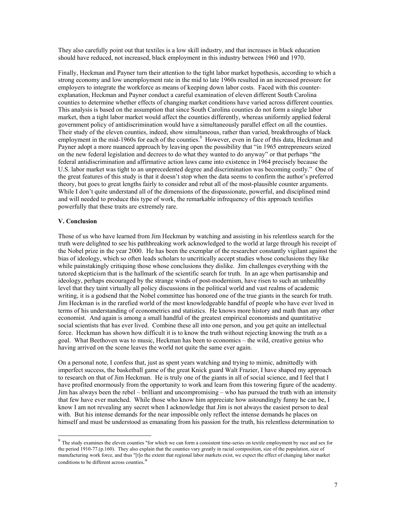They also carefully point out that textiles is a low skill industry, and that increases in black education should have reduced, not increased, black employment in this industry between 1960 and 1970.

Finally, Heckman and Payner turn their attention to the tight labor market hypothesis, according to which a strong economy and low unemployment rate in the mid to late 1960s resulted in an increased pressure for employers to integrate the workforce as means of keeping down labor costs. Faced with this counterexplanation, Heckman and Payner conduct a careful examination of eleven different South Carolina counties to determine whether effects of changing market conditions have varied across different counties. This analysis is based on the assumption that since South Carolina counties do not form a single labor market, then a tight labor market would affect the counties differently, whereas uniformly applied federal government policy of antidiscrimination would have a simultaneously parallel effect on all the counties. Their study of the eleven counties, indeed, show simultaneous, rather than varied, breakthroughs of black employment in the mid-1960s for each of the counties.<sup>9</sup> However, even in face of this data, Heckman and Payner adopt a more nuanced approach by leaving open the possibility that "in 1965 entrepreneurs seized on the new federal legislation and decrees to do what they wanted to do anyway" or that perhaps "the federal antidiscrimination and affirmative action laws came into existence in 1964 precisely because the U.S. labor market was tight to an unprecedented degree and discrimination was becoming costly." One of the great features of this study is that it doesn't stop when the data seems to confirm the author's preferred theory, but goes to great lengths fairly to consider and rebut all of the most-plausible counter arguments. While I don't quite understand all of the dimensions of the dispassionate, powerful, and disciplined mind and will needed to produce this type of work, the remarkable infrequency of this approach testifies powerfully that these traits are extremely rare.

#### **V. Conclusion**

Those of us who have learned from Jim Heckman by watching and assisting in his relentless search for the truth were delighted to see his pathbreaking work acknowledged to the world at large through his receipt of the Nobel prize in the year 2000. He has been the exemplar of the researcher constantly vigilant against the bias of ideology, which so often leads scholars to uncritically accept studies whose conclusions they like while painstakingly critiquing those whose conclusions they dislike. Jim challenges everything with the tutored skepticism that is the hallmark of the scientific search for truth. In an age when partisanship and ideology, perhaps encouraged by the strange winds of post-modernism, have risen to such an unhealthy level that they taint virtually all policy discussions in the political world and vast realms of academic writing, it is a godsend that the Nobel committee has honored one of the true giants in the search for truth. Jim Heckman is in the rarefied world of the most knowledgeable handful of people who have ever lived in terms of his understanding of econometrics and statistics. He knows more history and math than any other economist. And again is among a small handful of the greatest empirical economists and quantitative social scientists that has ever lived. Combine these all into one person, and you get quite an intellectual force. Heckman has shown how difficult it is to know the truth without rejecting knowing the truth as a goal. What Beethoven was to music, Heckman has been to economics – the wild, creative genius who having arrived on the scene leaves the world not quite the same ever again.

On a personal note, I confess that, just as spent years watching and trying to mimic, admittedly with imperfect success, the basketball game of the great Knick guard Walt Frazier, I have shaped my approach to research on that of Jim Heckman. He is truly one of the giants in all of social science, and I feel that I have profited enormously from the opportunity to work and learn from this towering figure of the academy. Jim has always been the rebel – brilliant and uncompromising – who has pursued the truth with an intensity that few have ever matched. While those who know him appreciate how astoundingly funny he can be, I know I am not revealing any secret when I acknowledge that Jim is not always the easiest person to deal with. But his intense demands for the near impossible only reflect the intense demands he places on himself and must be understood as emanating from his passion for the truth, his relentless determination to

<span id="page-6-0"></span><sup>&</sup>lt;sup>9</sup> The study examines the eleven counties "for which we can form a consistent time-series on textile employment by race and sex for the period 1910-77.(p.160). They also explain that the counties vary greatly in racial composition, size of the population, size of manufacturing work force, and thus "[t]o the extent that regional labor markets exist, we expect the effect of changing labor market conditions to be different across counties."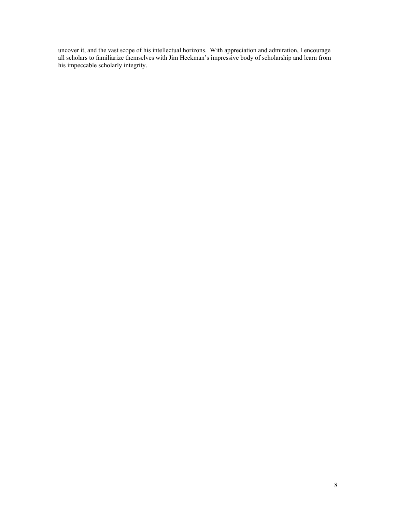uncover it, and the vast scope of his intellectual horizons. With appreciation and admiration, I encourage all scholars to familiarize themselves with Jim Heckman's impressive body of scholarship and learn from his impeccable scholarly integrity.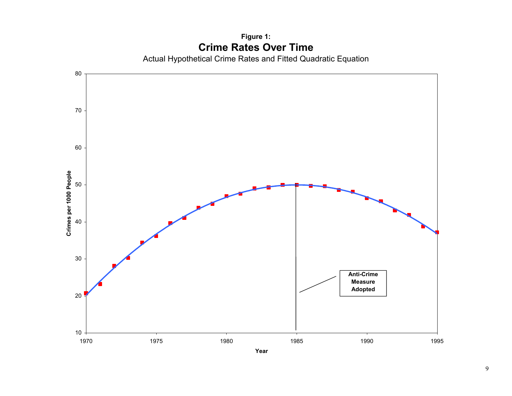Actual Hypothetical Crime Rates and Fitted Quadratic Equation 10 20 30 40 50 60 70 80 19700 1975 1980 1985 1990 1995 **Crimes p er 1000 Peo p l e Anti-Crime MeasureAdopted**

# **Figure 1: Crime Rates Over Time**

9

**Year**